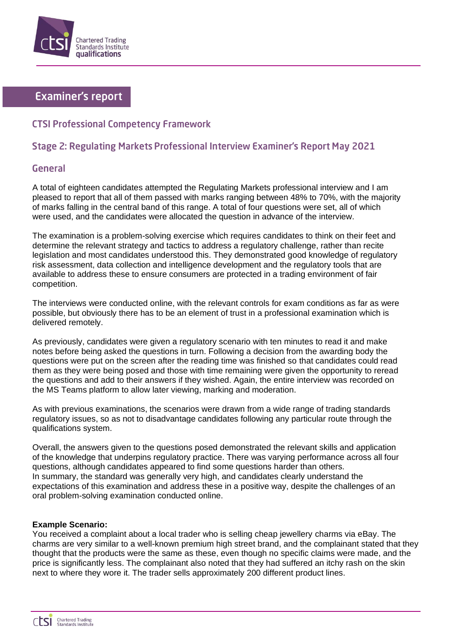

# **Examiner's report**

## **CTSI Professional Competency Framework**

## Stage 2: Regulating Markets Professional Interview Examiner's Report May 2021

### General

A total of eighteen candidates attempted the Regulating Markets professional interview and I am pleased to report that all of them passed with marks ranging between 48% to 70%, with the majority of marks falling in the central band of this range. A total of four questions were set, all of which were used, and the candidates were allocated the question in advance of the interview.

The examination is a problem-solving exercise which requires candidates to think on their feet and determine the relevant strategy and tactics to address a regulatory challenge, rather than recite legislation and most candidates understood this. They demonstrated good knowledge of regulatory risk assessment, data collection and intelligence development and the regulatory tools that are available to address these to ensure consumers are protected in a trading environment of fair competition.

The interviews were conducted online, with the relevant controls for exam conditions as far as were possible, but obviously there has to be an element of trust in a professional examination which is delivered remotely.

As previously, candidates were given a regulatory scenario with ten minutes to read it and make notes before being asked the questions in turn. Following a decision from the awarding body the questions were put on the screen after the reading time was finished so that candidates could read them as they were being posed and those with time remaining were given the opportunity to reread the questions and add to their answers if they wished. Again, the entire interview was recorded on the MS Teams platform to allow later viewing, marking and moderation.

As with previous examinations, the scenarios were drawn from a wide range of trading standards regulatory issues, so as not to disadvantage candidates following any particular route through the qualifications system.

Overall, the answers given to the questions posed demonstrated the relevant skills and application of the knowledge that underpins regulatory practice. There was varying performance across all four questions, although candidates appeared to find some questions harder than others. In summary, the standard was generally very high, and candidates clearly understand the expectations of this examination and address these in a positive way, despite the challenges of an oral problem-solving examination conducted online.

### **Example Scenario:**

You received a complaint about a local trader who is selling cheap jewellery charms via eBay. The charms are very similar to a well-known premium high street brand, and the complainant stated that they thought that the products were the same as these, even though no specific claims were made, and the price is significantly less. The complainant also noted that they had suffered an itchy rash on the skin next to where they wore it. The trader sells approximately 200 different product lines.